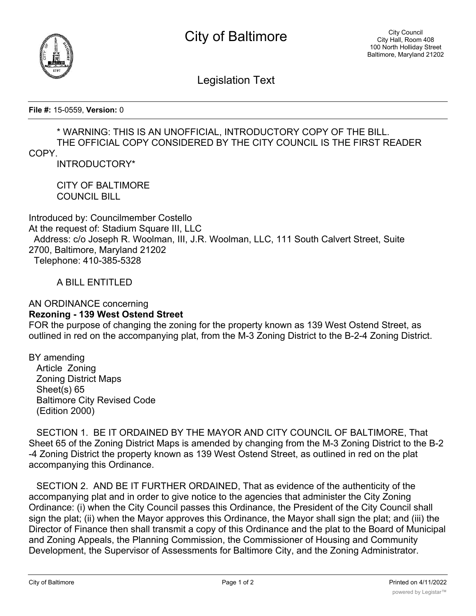



Legislation Text

**File #:** 15-0559, **Version:** 0

## \* WARNING: THIS IS AN UNOFFICIAL, INTRODUCTORY COPY OF THE BILL. THE OFFICIAL COPY CONSIDERED BY THE CITY COUNCIL IS THE FIRST READER

## COPY.

INTRODUCTORY\*

CITY OF BALTIMORE COUNCIL BILL

Introduced by: Councilmember Costello At the request of: Stadium Square III, LLC Address: c/o Joseph R. Woolman, III, J.R. Woolman, LLC, 111 South Calvert Street, Suite 2700, Baltimore, Maryland 21202 Telephone: 410-385-5328

A BILL ENTITLED

## AN ORDINANCE concerning **Rezoning - 139 West Ostend Street**

FOR the purpose of changing the zoning for the property known as 139 West Ostend Street, as outlined in red on the accompanying plat, from the M-3 Zoning District to the B-2-4 Zoning District.

BY amending Article Zoning Zoning District Maps Sheet(s) 65 Baltimore City Revised Code (Edition 2000)

 SECTION 1. BE IT ORDAINED BY THE MAYOR AND CITY COUNCIL OF BALTIMORE, That Sheet 65 of the Zoning District Maps is amended by changing from the M-3 Zoning District to the B-2 -4 Zoning District the property known as 139 West Ostend Street, as outlined in red on the plat accompanying this Ordinance.

 SECTION 2. AND BE IT FURTHER ORDAINED, That as evidence of the authenticity of the accompanying plat and in order to give notice to the agencies that administer the City Zoning Ordinance: (i) when the City Council passes this Ordinance, the President of the City Council shall sign the plat; (ii) when the Mayor approves this Ordinance, the Mayor shall sign the plat; and (iii) the Director of Finance then shall transmit a copy of this Ordinance and the plat to the Board of Municipal and Zoning Appeals, the Planning Commission, the Commissioner of Housing and Community Development, the Supervisor of Assessments for Baltimore City, and the Zoning Administrator.